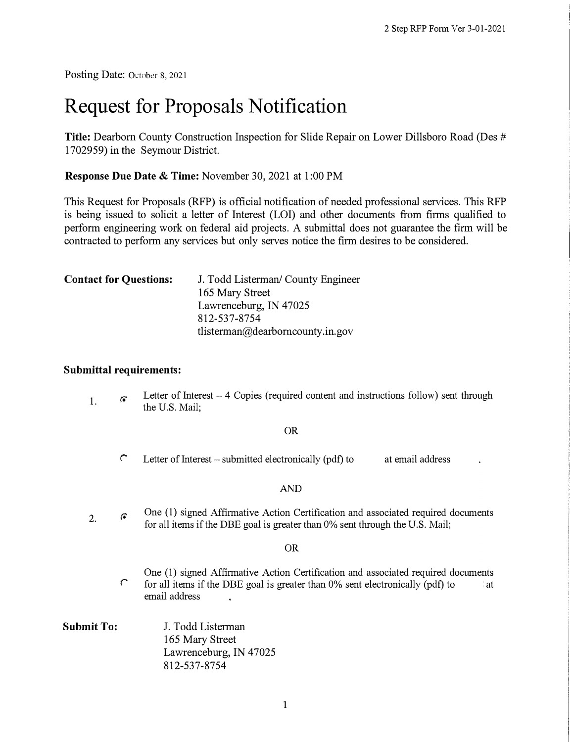Posting Date: October 8, 2021

# **Request for Proposals Notification**

**Title:** Dearborn County Construction Inspection for Slide Repair on Lower Dillsboro Road (Des # 1702959) in the Seymour District.

**Response Due Date & Time:** November 30, 2021 at 1 :00 PM

This Request for Proposals (RFP) is official notification of needed professional services. This RFP is being issued to solicit a letter of Interest (LOI) and other documents from firms qualified to perform engineering work on federal aid projects. A submittal does not guarantee the finn will be contracted to perform any services but only serves notice the firm desires to be considered.

| <b>Contact for Questions:</b> | J. Todd Listerman/ County Engineer |  |  |
|-------------------------------|------------------------------------|--|--|
|                               | 165 Mary Street                    |  |  |
|                               | Lawrenceburg, IN 47025             |  |  |
|                               | 812-537-8754                       |  |  |
|                               | tlisterman@dearborncounty.in.gov   |  |  |

#### **Submittal requirements:**

1. *r.* Letter of Interest  $-4$  Copies (required content and instructions follow) sent through the U.S. Mail;

#### OR

*r* Letter of Interest - submitted electronically (pdf) to at email address

#### AND

2. *r.*  One (1) signed Affirmative Action Certification and associated required documents for all items if the DBE goal is greater than 0% sent through the U.S. Mail;

#### OR

- One (1) signed Affirmative Action Certification and associated required documents *r* for all items if the DBE goal is greater than 0% sent electronically (pdf) to at email address
- **Submit To:** J. Todd Listerman 165 Mary Street Lawrenceburg, IN 47025 812-537-8754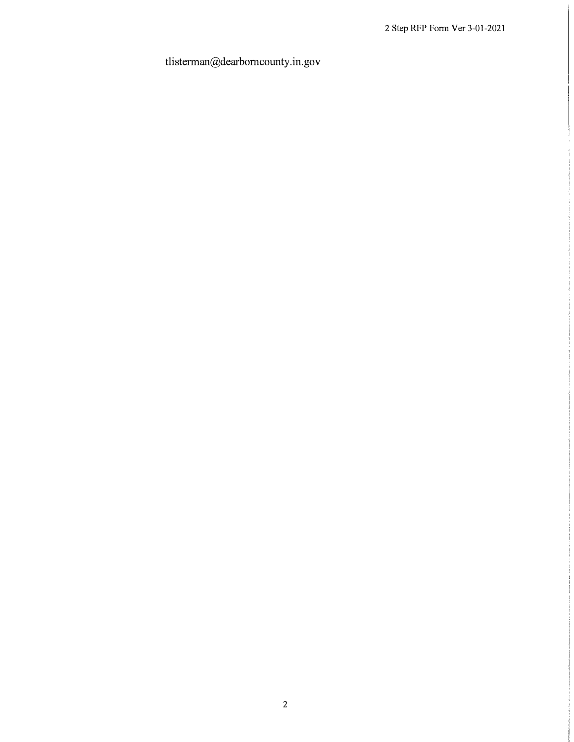## tlisterman@dearbomcounty.in.gov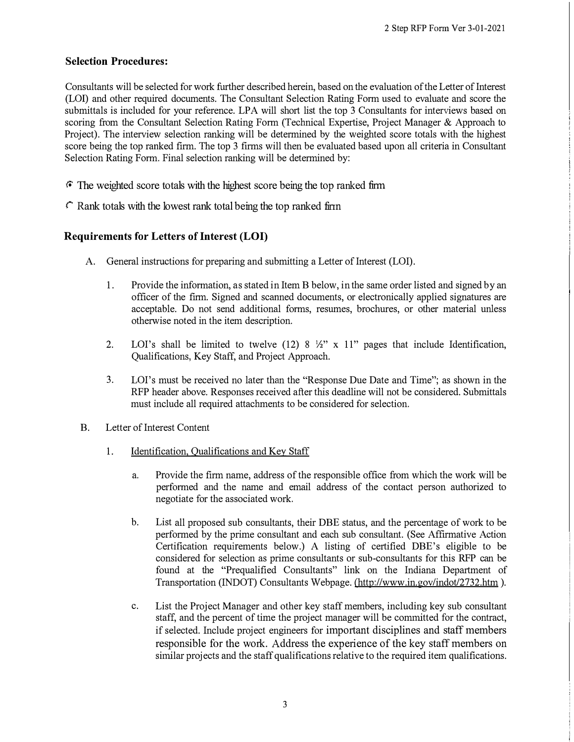## **Selection Procedures:**

Consultants will be selected for work further described herein, based on the evaluation of the Letter of Interest (LOI) and other required documents. The Consultant Selection Rating Form used to evaluate and score the submittals is included for your reference. LPA will short list the top 3 Consultants for interviews based on scoring from the Consultant Selection Rating Form (Technical Expertise, Project Manager & Approach to Project). The interview selection ranking will be determined by the weighted score totals with the highest score being the top ranked firm. The top 3 firms will then be evaluated based upon all criteria in Consultant Selection Rating Form. Final selection ranking will be determined by:

- *F*. The weighted score totals with the highest score being the top ranked firm
- *r* Rank totals with the lowest rank total being the top ranked firm

## **Requirements for Letters of Interest (LOI)**

- A. General instructions for preparing and submitting a Letter of Interest (LOI).
	- 1. Provide the information, as stated in Item B below, in the same order listed and signed by an officer of the firm. Signed and scanned documents, or electronically applied signatures are acceptable. Do not send additional forms, resumes, brochures, or other material unless otherwise noted in the item description.
	- 2. LOI's shall be limited to twelve (12) 8  $\frac{1}{2}$ " x 11" pages that include Identification, Qualifications, Key Staff, and Project Approach.
	- 3. LOl's must be received no later than the "Response Due Date and Time"; as shown in the RFP header above. Responses received after this deadline will not be considered. Submittals must include all required attachments to be considered for selection.
- B. Letter of Interest Content
	- 1. Identification, Qualifications and Key Staff
		- a. Provide the firm name, address of the responsible office from which the work will be performed and the name and email address of the contact person authorized to negotiate for the associated work.
		- b. List all proposed sub consultants, their DBE status, and the percentage of work to be performed by the prime consultant and each sub consultant. (See Affirmative Action Certification requirements below.) A listing of certified DBE's eligible to be considered for selection as prime consultants or sub-consultants for this RFP can be found at the "Prequalified Consultants" link on the Indiana Department of Transportation (INDOT) Consultants Webpage. (http://www.in.gov/indot/2732.htm ).
		- c. List the Project Manager and other key staff members, including key sub consultant staff, and the percent of time the project manager will be committed for the contract, if selected. Include project engineers for important disciplines and staff members responsible for the work. Address the experience of the key staff members on similar projects and the staff qualifications relative to the required item qualifications.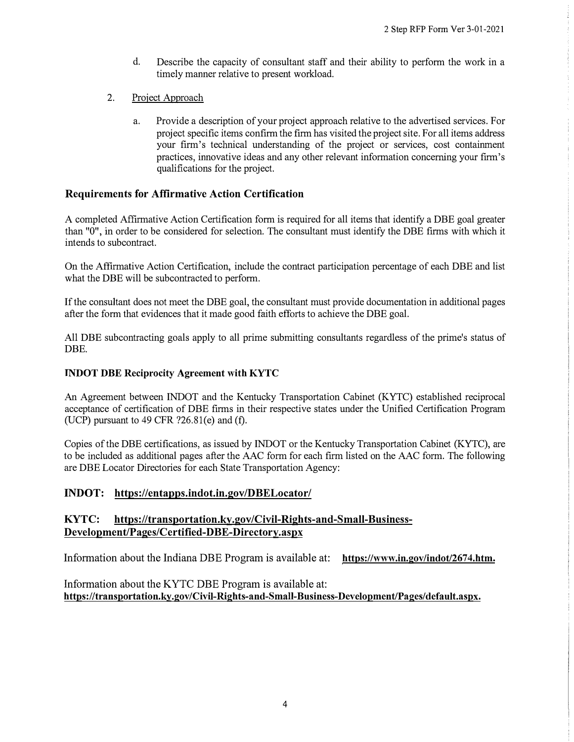- d. Describe the capacity of consultant staff and their ability to perform the work in a timely manner relative to present workload.
- 2. Project Approach
	- a. Provide a description of your project approach relative to the advertised services. For project specific items confirm the firm has visited the project site. For all items address your firm's technical understanding of the project or services, cost containment practices, innovative ideas and any other relevant information concerning your firm's qualifications for the project.

## **Requirements for Affirmative Action Certification**

A completed Affirmative Action Certification form is required for all items that identify a DBE goal greater than "0", in order to be considered for selection. The consultant must identify the DBE firms with which it intends to subcontract.

On the Affirmative Action Certification, include the contract participation percentage of each DBE and list what the **DBE** will be subcontracted to perform.

If the consultant does not meet the DBE goal, the consultant must provide documentation in additional pages after the form that evidences that it made good faith efforts to achieve the DBE goal.

All **DBE** subcontracting goals apply to all prime submitting consultants regardless of the prime's status of **DBE.** 

#### **INDOT DBE Reciprocity Agreement with KYTC**

An Agreement between INDOT and the Kentucky Transportation Cabinet (KYTC) established reciprocal acceptance of certification of DBE firms in their respective states under the Unified Certification Program (UCP) pursuant to  $49$  CFR  $?26.81(e)$  and  $(f)$ .

Copies of the DBE certifications, as issued by INDOT or the Kentucky Transportation Cabinet (KYTC), are to be included as additional pages after the AAC form for each firm listed on the AAC form. The following are DBE Locator Directories for each State Transportation Agency:

#### **INDOT: https://entapps.indot.in.gov/DBELocator/**

## KYTC: https://transportation.ky.gov/Civil-Rights-and-Small-Business-**Development/Pages/Certified-D BE-Directory .aspx**

Information about the Indiana DBE Program is available at: **https://www.in.gov/indot/2674.htm.** 

Information about the KYTC DBE Program is available at: **https:/ /transportation.ky.gov/Civil-Rights-and-Small-Business-Development/Pages/ default.aspx.**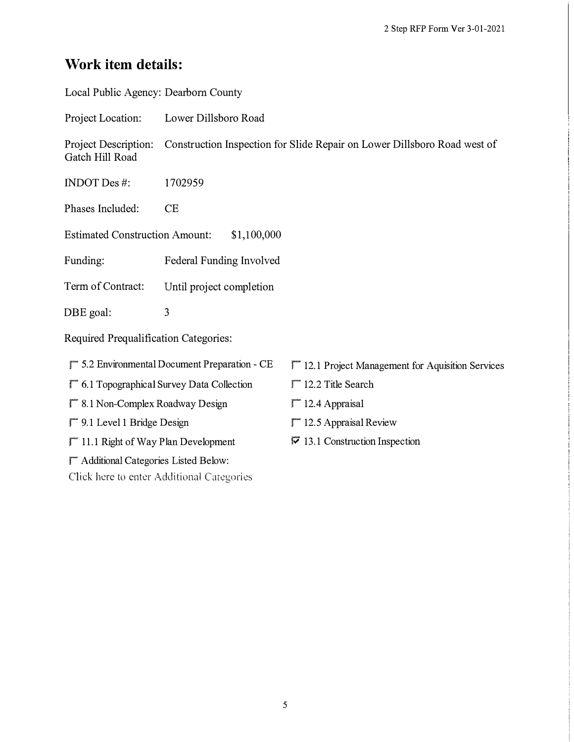## **Work item details:**

| Local Public Agency: Dearborn County          |                                                                          |                                                 |  |
|-----------------------------------------------|--------------------------------------------------------------------------|-------------------------------------------------|--|
| Project Location:                             | Lower Dillsboro Road                                                     |                                                 |  |
| Project Description:<br>Gatch Hill Road       | Construction Inspection for Slide Repair on Lower Dillsboro Road west of |                                                 |  |
| <b>INDOT</b> Des #:                           | 1702959                                                                  |                                                 |  |
| Phases Included:                              | CE                                                                       |                                                 |  |
| <b>Estimated Construction Amount:</b>         | \$1,100,000                                                              |                                                 |  |
| Funding:                                      | Federal Funding Involved                                                 |                                                 |  |
| Term of Contract:                             | Until project completion                                                 |                                                 |  |
| DBE goal:                                     | 3                                                                        |                                                 |  |
| Required Prequalification Categories:         |                                                                          |                                                 |  |
|                                               | $\Gamma$ 5.2 Environmental Document Preparation - CE                     | 12.1 Project Management for Aquisition Services |  |
|                                               | $\Gamma$ 6.1 Topographical Survey Data Collection                        | $\Gamma$ 12.2 Title Search                      |  |
| 8.1 Non-Complex Roadway Design                |                                                                          | $\Gamma$ 12.4 Appraisal                         |  |
| 9.1 Level 1 Bridge Design                     |                                                                          | $\Gamma$ 12.5 Appraisal Review                  |  |
| <sup>11.1</sup> Right of Way Plan Development |                                                                          | $\nabla$ 13.1 Construction Inspection           |  |
| Additional Categories Listed Below:           |                                                                          |                                                 |  |

Click here to enter Additional Categories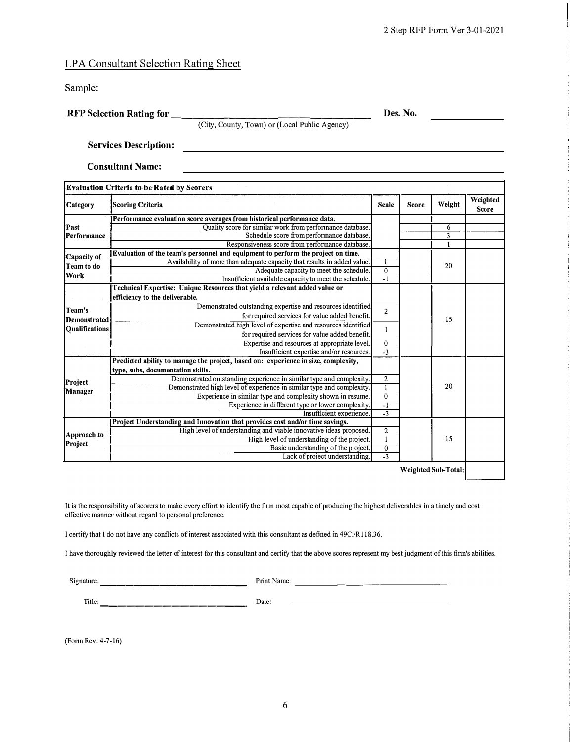#### LPA Consultant Selection Rating Sheet

Sample:

**RFP Selection Rating for \_\_\_\_\_\_\_\_\_\_\_\_\_\_\_\_\_\_ \_ Des. No.**

(City, County, Town) or (Local Public Agency)

**Services Description:** 

**Consultant Name:** 

| Weighted<br>Weight<br>Category<br>Score<br><b>Scoring Criteria</b><br>Scale<br><b>Score</b><br>Performance evaluation score averages from historical performance data.<br>Past<br>Quality score for similar work from performance database.<br>6<br>$\overline{\mathbf{3}}$<br>Schedule score from performance database.<br>Performance<br>Responsiveness score from performance database.<br>1<br>Evaluation of the team's personnel and equipment to perform the project on time.<br>Capacity of<br>Availability of more than adequate capacity that results in added value.<br>1<br>Team to do<br>20<br>$\mathbf{0}$<br>Adequate capacity to meet the schedule.<br>Work<br>$-1$<br>Insufficient available capacity to meet the schedule.<br>Technical Expertise: Unique Resources that yield a relevant added value or<br>efficiency to the deliverable.<br>Demonstrated outstanding expertise and resources identified<br>Team's<br>$\overline{2}$<br>for required services for value added benefit.<br>15<br><b>Demonstrated</b><br>Demonstrated high level of expertise and resources identified<br><b>Oualifications</b><br>1<br>for required services for value added benefit.<br>Expertise and resources at appropriate level.<br>$\mathbf{0}$<br>$-3$<br>Insufficient expertise and/or resources.<br>Predicted ability to manage the project, based on: experience in size, complexity,<br>type, subs, documentation skills.<br>Demonstrated outstanding experience in similar type and complexity.<br>$\overline{\mathbf{c}}$<br>Project<br>20<br>$\mathbf{1}$<br>Demonstrated high level of experience in similar type and complexity.<br><b>Manager</b><br>$\mathbf{0}$<br>Experience in similar type and complexity shown in resume.<br>$-1$<br>Experience in different type or lower complexity.<br>$-3$<br>Insufficient experience.<br>Project Understanding and Innovation that provides cost and/or time savings.<br>High level of understanding and viable innovative ideas proposed.<br>$\overline{2}$<br>Approach to<br>15<br>$\mathbf{1}$<br>High level of understanding of the project.<br>Project<br>$\mathbf 0$<br>Basic understanding of the project.<br>$\overline{-3}$<br>Lack of project understanding. |  | <b>Evaluation Criteria to be Rated by Scorers</b> |  |  |  |  |
|--------------------------------------------------------------------------------------------------------------------------------------------------------------------------------------------------------------------------------------------------------------------------------------------------------------------------------------------------------------------------------------------------------------------------------------------------------------------------------------------------------------------------------------------------------------------------------------------------------------------------------------------------------------------------------------------------------------------------------------------------------------------------------------------------------------------------------------------------------------------------------------------------------------------------------------------------------------------------------------------------------------------------------------------------------------------------------------------------------------------------------------------------------------------------------------------------------------------------------------------------------------------------------------------------------------------------------------------------------------------------------------------------------------------------------------------------------------------------------------------------------------------------------------------------------------------------------------------------------------------------------------------------------------------------------------------------------------------------------------------------------------------------------------------------------------------------------------------------------------------------------------------------------------------------------------------------------------------------------------------------------------------------------------------------------------------------------------------------------------------------------------------------------------------------------------------------------------------------------------|--|---------------------------------------------------|--|--|--|--|
|                                                                                                                                                                                                                                                                                                                                                                                                                                                                                                                                                                                                                                                                                                                                                                                                                                                                                                                                                                                                                                                                                                                                                                                                                                                                                                                                                                                                                                                                                                                                                                                                                                                                                                                                                                                                                                                                                                                                                                                                                                                                                                                                                                                                                                      |  |                                                   |  |  |  |  |
|                                                                                                                                                                                                                                                                                                                                                                                                                                                                                                                                                                                                                                                                                                                                                                                                                                                                                                                                                                                                                                                                                                                                                                                                                                                                                                                                                                                                                                                                                                                                                                                                                                                                                                                                                                                                                                                                                                                                                                                                                                                                                                                                                                                                                                      |  |                                                   |  |  |  |  |
|                                                                                                                                                                                                                                                                                                                                                                                                                                                                                                                                                                                                                                                                                                                                                                                                                                                                                                                                                                                                                                                                                                                                                                                                                                                                                                                                                                                                                                                                                                                                                                                                                                                                                                                                                                                                                                                                                                                                                                                                                                                                                                                                                                                                                                      |  |                                                   |  |  |  |  |
|                                                                                                                                                                                                                                                                                                                                                                                                                                                                                                                                                                                                                                                                                                                                                                                                                                                                                                                                                                                                                                                                                                                                                                                                                                                                                                                                                                                                                                                                                                                                                                                                                                                                                                                                                                                                                                                                                                                                                                                                                                                                                                                                                                                                                                      |  |                                                   |  |  |  |  |
|                                                                                                                                                                                                                                                                                                                                                                                                                                                                                                                                                                                                                                                                                                                                                                                                                                                                                                                                                                                                                                                                                                                                                                                                                                                                                                                                                                                                                                                                                                                                                                                                                                                                                                                                                                                                                                                                                                                                                                                                                                                                                                                                                                                                                                      |  |                                                   |  |  |  |  |
|                                                                                                                                                                                                                                                                                                                                                                                                                                                                                                                                                                                                                                                                                                                                                                                                                                                                                                                                                                                                                                                                                                                                                                                                                                                                                                                                                                                                                                                                                                                                                                                                                                                                                                                                                                                                                                                                                                                                                                                                                                                                                                                                                                                                                                      |  |                                                   |  |  |  |  |
|                                                                                                                                                                                                                                                                                                                                                                                                                                                                                                                                                                                                                                                                                                                                                                                                                                                                                                                                                                                                                                                                                                                                                                                                                                                                                                                                                                                                                                                                                                                                                                                                                                                                                                                                                                                                                                                                                                                                                                                                                                                                                                                                                                                                                                      |  |                                                   |  |  |  |  |
|                                                                                                                                                                                                                                                                                                                                                                                                                                                                                                                                                                                                                                                                                                                                                                                                                                                                                                                                                                                                                                                                                                                                                                                                                                                                                                                                                                                                                                                                                                                                                                                                                                                                                                                                                                                                                                                                                                                                                                                                                                                                                                                                                                                                                                      |  |                                                   |  |  |  |  |
|                                                                                                                                                                                                                                                                                                                                                                                                                                                                                                                                                                                                                                                                                                                                                                                                                                                                                                                                                                                                                                                                                                                                                                                                                                                                                                                                                                                                                                                                                                                                                                                                                                                                                                                                                                                                                                                                                                                                                                                                                                                                                                                                                                                                                                      |  |                                                   |  |  |  |  |
|                                                                                                                                                                                                                                                                                                                                                                                                                                                                                                                                                                                                                                                                                                                                                                                                                                                                                                                                                                                                                                                                                                                                                                                                                                                                                                                                                                                                                                                                                                                                                                                                                                                                                                                                                                                                                                                                                                                                                                                                                                                                                                                                                                                                                                      |  |                                                   |  |  |  |  |
|                                                                                                                                                                                                                                                                                                                                                                                                                                                                                                                                                                                                                                                                                                                                                                                                                                                                                                                                                                                                                                                                                                                                                                                                                                                                                                                                                                                                                                                                                                                                                                                                                                                                                                                                                                                                                                                                                                                                                                                                                                                                                                                                                                                                                                      |  |                                                   |  |  |  |  |
|                                                                                                                                                                                                                                                                                                                                                                                                                                                                                                                                                                                                                                                                                                                                                                                                                                                                                                                                                                                                                                                                                                                                                                                                                                                                                                                                                                                                                                                                                                                                                                                                                                                                                                                                                                                                                                                                                                                                                                                                                                                                                                                                                                                                                                      |  |                                                   |  |  |  |  |
|                                                                                                                                                                                                                                                                                                                                                                                                                                                                                                                                                                                                                                                                                                                                                                                                                                                                                                                                                                                                                                                                                                                                                                                                                                                                                                                                                                                                                                                                                                                                                                                                                                                                                                                                                                                                                                                                                                                                                                                                                                                                                                                                                                                                                                      |  |                                                   |  |  |  |  |
|                                                                                                                                                                                                                                                                                                                                                                                                                                                                                                                                                                                                                                                                                                                                                                                                                                                                                                                                                                                                                                                                                                                                                                                                                                                                                                                                                                                                                                                                                                                                                                                                                                                                                                                                                                                                                                                                                                                                                                                                                                                                                                                                                                                                                                      |  |                                                   |  |  |  |  |
|                                                                                                                                                                                                                                                                                                                                                                                                                                                                                                                                                                                                                                                                                                                                                                                                                                                                                                                                                                                                                                                                                                                                                                                                                                                                                                                                                                                                                                                                                                                                                                                                                                                                                                                                                                                                                                                                                                                                                                                                                                                                                                                                                                                                                                      |  |                                                   |  |  |  |  |
|                                                                                                                                                                                                                                                                                                                                                                                                                                                                                                                                                                                                                                                                                                                                                                                                                                                                                                                                                                                                                                                                                                                                                                                                                                                                                                                                                                                                                                                                                                                                                                                                                                                                                                                                                                                                                                                                                                                                                                                                                                                                                                                                                                                                                                      |  |                                                   |  |  |  |  |
|                                                                                                                                                                                                                                                                                                                                                                                                                                                                                                                                                                                                                                                                                                                                                                                                                                                                                                                                                                                                                                                                                                                                                                                                                                                                                                                                                                                                                                                                                                                                                                                                                                                                                                                                                                                                                                                                                                                                                                                                                                                                                                                                                                                                                                      |  |                                                   |  |  |  |  |
|                                                                                                                                                                                                                                                                                                                                                                                                                                                                                                                                                                                                                                                                                                                                                                                                                                                                                                                                                                                                                                                                                                                                                                                                                                                                                                                                                                                                                                                                                                                                                                                                                                                                                                                                                                                                                                                                                                                                                                                                                                                                                                                                                                                                                                      |  |                                                   |  |  |  |  |
|                                                                                                                                                                                                                                                                                                                                                                                                                                                                                                                                                                                                                                                                                                                                                                                                                                                                                                                                                                                                                                                                                                                                                                                                                                                                                                                                                                                                                                                                                                                                                                                                                                                                                                                                                                                                                                                                                                                                                                                                                                                                                                                                                                                                                                      |  |                                                   |  |  |  |  |
|                                                                                                                                                                                                                                                                                                                                                                                                                                                                                                                                                                                                                                                                                                                                                                                                                                                                                                                                                                                                                                                                                                                                                                                                                                                                                                                                                                                                                                                                                                                                                                                                                                                                                                                                                                                                                                                                                                                                                                                                                                                                                                                                                                                                                                      |  |                                                   |  |  |  |  |
|                                                                                                                                                                                                                                                                                                                                                                                                                                                                                                                                                                                                                                                                                                                                                                                                                                                                                                                                                                                                                                                                                                                                                                                                                                                                                                                                                                                                                                                                                                                                                                                                                                                                                                                                                                                                                                                                                                                                                                                                                                                                                                                                                                                                                                      |  |                                                   |  |  |  |  |
|                                                                                                                                                                                                                                                                                                                                                                                                                                                                                                                                                                                                                                                                                                                                                                                                                                                                                                                                                                                                                                                                                                                                                                                                                                                                                                                                                                                                                                                                                                                                                                                                                                                                                                                                                                                                                                                                                                                                                                                                                                                                                                                                                                                                                                      |  |                                                   |  |  |  |  |
|                                                                                                                                                                                                                                                                                                                                                                                                                                                                                                                                                                                                                                                                                                                                                                                                                                                                                                                                                                                                                                                                                                                                                                                                                                                                                                                                                                                                                                                                                                                                                                                                                                                                                                                                                                                                                                                                                                                                                                                                                                                                                                                                                                                                                                      |  |                                                   |  |  |  |  |
|                                                                                                                                                                                                                                                                                                                                                                                                                                                                                                                                                                                                                                                                                                                                                                                                                                                                                                                                                                                                                                                                                                                                                                                                                                                                                                                                                                                                                                                                                                                                                                                                                                                                                                                                                                                                                                                                                                                                                                                                                                                                                                                                                                                                                                      |  |                                                   |  |  |  |  |
|                                                                                                                                                                                                                                                                                                                                                                                                                                                                                                                                                                                                                                                                                                                                                                                                                                                                                                                                                                                                                                                                                                                                                                                                                                                                                                                                                                                                                                                                                                                                                                                                                                                                                                                                                                                                                                                                                                                                                                                                                                                                                                                                                                                                                                      |  |                                                   |  |  |  |  |
|                                                                                                                                                                                                                                                                                                                                                                                                                                                                                                                                                                                                                                                                                                                                                                                                                                                                                                                                                                                                                                                                                                                                                                                                                                                                                                                                                                                                                                                                                                                                                                                                                                                                                                                                                                                                                                                                                                                                                                                                                                                                                                                                                                                                                                      |  |                                                   |  |  |  |  |
|                                                                                                                                                                                                                                                                                                                                                                                                                                                                                                                                                                                                                                                                                                                                                                                                                                                                                                                                                                                                                                                                                                                                                                                                                                                                                                                                                                                                                                                                                                                                                                                                                                                                                                                                                                                                                                                                                                                                                                                                                                                                                                                                                                                                                                      |  |                                                   |  |  |  |  |

**Weighted Sub-Total:** 

It is the responsibility of scorers to make every effmt to identify the finn most capable of producing the highest deliverables in a timely and cost effective manner without regard to personal preference.

I certify that I do not have any conflicts of interest associated with this consultant as defined in 49CFR118.36.

I have thoroughly reviewed the letter of interest for this consultant and certify that the above scores represent my best judgment of this finn's abilities.

Signature: \_\_\_\_\_\_\_\_\_\_\_\_\_\_\_\_ \_ PrintName: \_\_\_\_\_\_\_ \_\_\_\_\_\_\_\_\_\_ \_

Title: ----------------- Date:

(Fonn Rev. 4-7-16)